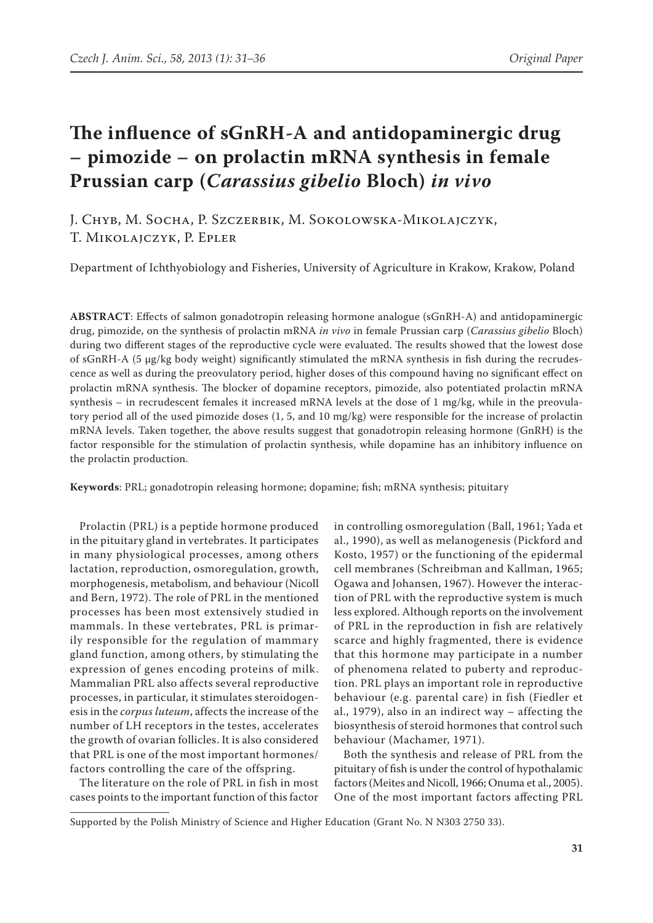# **The influence of sGnRH-A and antidopaminergic drug – pimozide – on prolactin mRNA synthesis in female Prussian carp (***Carassius gibelio* **Bloch)** *in vivo*

J. Chyb, M. Socha, P. Szczerbik, M. Sokolowska-Mikolajczyk, T. Mikolajczyk, P. Epler

Department of Ichthyobiology and Fisheries, University of Agriculture in Krakow, Krakow, Poland

**ABSTRACT**: Effects of salmon gonadotropin releasing hormone analogue (sGnRH-A) and antidopaminergic drug, pimozide, on the synthesis of prolactin mRNA *in vivo* in female Prussian carp (*Carassius gibelio* Bloch) during two different stages of the reproductive cycle were evaluated. The results showed that the lowest dose of sGnRH-A (5 μg/kg body weight) significantly stimulated the mRNA synthesis in fish during the recrudescence as well as during the preovulatory period, higher doses of this compound having no significant effect on prolactin mRNA synthesis. The blocker of dopamine receptors, pimozide, also potentiated prolactin mRNA synthesis – in recrudescent females it increased mRNA levels at the dose of  $1 \text{ mg/kg}$ , while in the preovulatory period all of the used pimozide doses (1, 5, and 10 mg/kg) were responsible for the increase of prolactin mRNA levels. Taken together, the above results suggest that gonadotropin releasing hormone (GnRH) is the factor responsible for the stimulation of prolactin synthesis, while dopamine has an inhibitory influence on the prolactin production.

**Keywords**: PRL; gonadotropin releasing hormone; dopamine; fish; mRNA synthesis; pituitary

Prolactin (PRL) is a peptide hormone produced in the pituitary gland in vertebrates. It participates in many physiological processes, among others lactation, reproduction, osmoregulation, growth, morphogenesis, metabolism, and behaviour (Nicoll and Bern, 1972). The role of PRL in the mentioned processes has been most extensively studied in mammals. In these vertebrates, PRL is primarily responsible for the regulation of mammary gland function, among others, by stimulating the expression of genes encoding proteins of milk. Mammalian PRL also affects several reproductive processes, in particular, it stimulates steroidogenesis in the *corpus luteum*, affects the increase of the number of LH receptors in the testes, accelerates the growth of ovarian follicles. It is also considered that PRL is one of the most important hormones/ factors controlling the care of the offspring.

The literature on the role of PRL in fish in most cases points to the important function of this factor in controlling osmoregulation (Ball, 1961; Yada et al., 1990), as well as melanogenesis (Pickford and Kosto, 1957) or the functioning of the epidermal cell membranes (Schreibman and Kallman, 1965; Ogawa and Johansen, 1967). However the interaction of PRL with the reproductive system is much less explored. Although reports on the involvement of PRL in the reproduction in fish are relatively scarce and highly fragmented, there is evidence that this hormone may participate in a number of phenomena related to puberty and reproduction. PRL plays an important role in reproductive behaviour (e.g. parental care) in fish (Fiedler et al., 1979), also in an indirect way – affecting the biosynthesis of steroid hormones that control such behaviour (Machamer, 1971).

Both the synthesis and release of PRL from the pituitary of fish is under the control of hypothalamic factors (Meites and Nicoll, 1966; Onuma et al., 2005). One of the most important factors affecting PRL

Supported by the Polish Ministry of Science and Higher Education (Grant No. N N303 2750 33).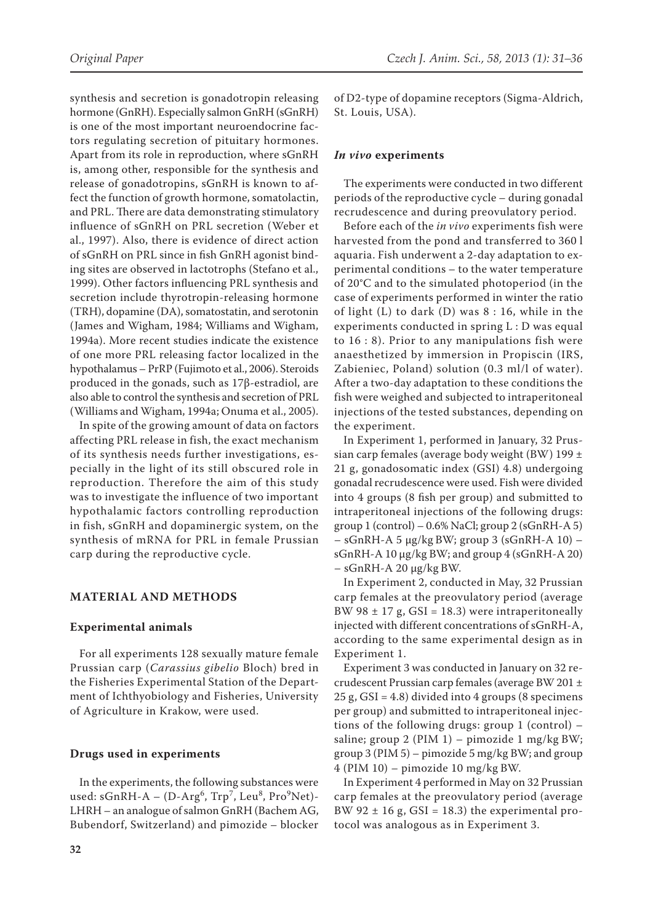synthesis and secretion is gonadotropin releasing hormone (GnRH). Especially salmon GnRH (sGnRH) is one of the most important neuroendocrine factors regulating secretion of pituitary hormones. Apart from its role in reproduction, where sGnRH is, among other, responsible for the synthesis and release of gonadotropins, sGnRH is known to affect the function of growth hormone, somatolactin, and PRL. There are data demonstrating stimulatory influence of sGnRH on PRL secretion (Weber et al., 1997). Also, there is evidence of direct action of sGnRH on PRL since in fish GnRH agonist bind-

ing sites are observed in lactotrophs (Stefano et al., 1999). Other factors influencing PRL synthesis and secretion include thyrotropin-releasing hormone (TRH), dopamine (DA), somatostatin, and serotonin (James and Wigham, 1984; Williams and Wigham, 1994a). More recent studies indicate the existence of one more PRL releasing factor localized in the hypothalamus – PrRP (Fujimoto et al., 2006). Steroids produced in the gonads, such as 17β-estradiol, are also able to control the synthesis and secretion of PRL (Williams and Wigham, 1994a; Onuma et al., 2005).

In spite of the growing amount of data on factors affecting PRL release in fish, the exact mechanism of its synthesis needs further investigations, especially in the light of its still obscured role in reproduction. Therefore the aim of this study was to investigate the influence of two important hypothalamic factors controlling reproduction in fish, sGnRH and dopaminergic system, on the synthesis of mRNA for PRL in female Prussian carp during the reproductive cycle.

# **MATERIAL AND METHODS**

## **Experimental animals**

For all experiments 128 sexually mature female Prussian carp (*Carassius gibelio* Bloch) bred in the Fisheries Experimental Station of the Department of Ichthyobiology and Fisheries, University of Agriculture in Krakow, were used.

# **Drugs used in experiments**

In the experiments, the following substances were used: sGnRH-A – (D-Arg<sup>6</sup>, Trp<sup>7</sup>, Leu<sup>8</sup>, Pro<sup>9</sup>Net)-LHRH – an analogue of salmon GnRH (Bachem AG, Bubendorf, Switzerland) and pimozide – blocker of D2-type of dopamine receptors (Sigma-Aldrich, St. Louis, USA).

### *In vivo* **experiments**

The experiments were conducted in two different periods of the reproductive cycle – during gonadal recrudescence and during preovulatory period.

Before each of the *in vivo* experiments fish were harvested from the pond and transferred to 360 l aquaria. Fish underwent a 2-day adaptation to experimental conditions – to the water temperature of 20°C and to the simulated photoperiod (in the case of experiments performed in winter the ratio of light (L) to dark (D) was 8 : 16, while in the experiments conducted in spring L : D was equal to 16 : 8). Prior to any manipulations fish were anaesthetized by immersion in Propiscin (IRS, Zabieniec, Poland) solution (0.3 ml/l of water). After a two-day adaptation to these conditions the fish were weighed and subjected to intraperitoneal injections of the tested substances, depending on the experiment.

In Experiment 1, performed in January, 32 Prussian carp females (average body weight (BW) 199  $\pm$ 21 g, gonadosomatic index (GSI) 4.8) undergoing gonadal recrudescence were used. Fish were divided into 4 groups (8 fish per group) and submitted to intraperitoneal injections of the following drugs: group  $1$  (control) – 0.6% NaCl; group  $2$  (sGnRH-A 5) – sGnRH-A 5 μg/kg BW; group 3 (sGnRH-A 10) – sGnRH-A 10 μg/kg BW; and group 4 (sGnRH-A 20) – sGnRH-A 20 μg/kg BW.

In Experiment 2, conducted in May, 32 Prussian carp females at the preovulatory period (average BW 98  $\pm$  17 g, GSI = 18.3) were intraperitoneally injected with different concentrations of sGnRH-A, according to the same experimental design as in Experiment 1.

Experiment 3 was conducted in January on 32 recrudescent Prussian carp females (average BW 201 ± 25 g, GSI = 4.8) divided into 4 groups (8 specimens per group) and submitted to intraperitoneal injections of the following drugs: group 1 (control) – saline; group 2 (PIM  $1$ ) – pimozide 1 mg/kg BW; group 3 (PIM 5) – pimozide 5 mg/kg BW; and group 4 (PIM 10) – pimozide 10 mg/kg BW.

In Experiment 4 performed in May on 32 Prussian carp females at the preovulatory period (average BW 92  $\pm$  16 g, GSI = 18.3) the experimental protocol was analogous as in Experiment 3.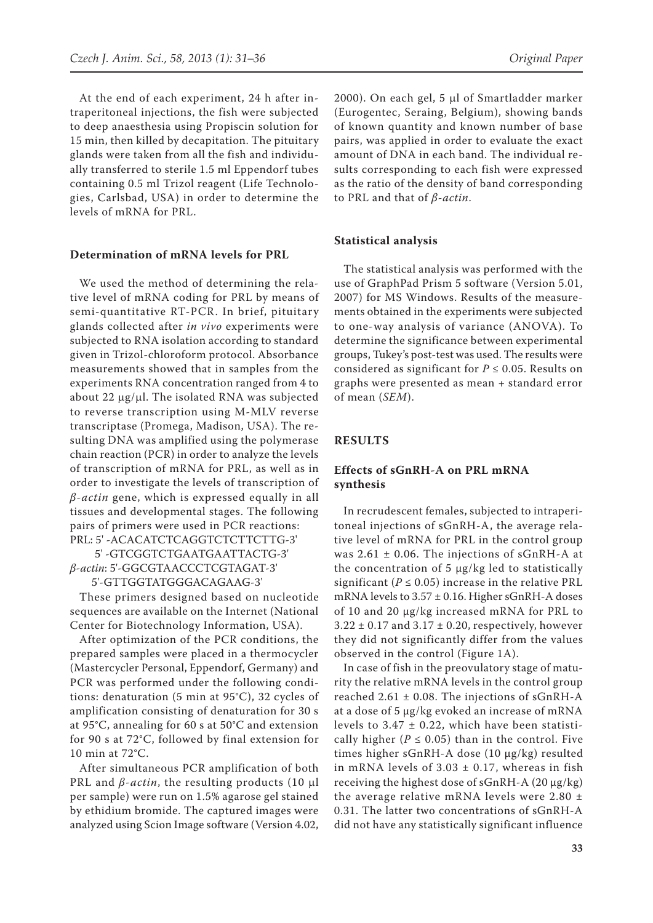At the end of each experiment, 24 h after intraperitoneal injections, the fish were subjected to deep anaesthesia using Propiscin solution for 15 min, then killed by decapitation. The pituitary glands were taken from all the fish and individually transferred to sterile 1.5 ml Eppendorf tubes containing 0.5 ml Trizol reagent (Life Technologies, Carlsbad, USA) in order to determine the levels of mRNA for PRL.

#### **Determination of mRNA levels for PRL**

We used the method of determining the relative level of mRNA coding for PRL by means of semi-quantitative RT-PCR. In brief, pituitary glands collected after *in vivo* experiments were subjected to RNA isolation according to standard given in Trizol-chloroform protocol. Absorbance measurements showed that in samples from the experiments RNA concentration ranged from 4 to about 22  $\mu$ g/ $\mu$ l. The isolated RNA was subjected to reverse transcription using M-MLV reverse transcriptase (Promega, Madison, USA). The resulting DNA was amplified using the polymerase chain reaction (PCR) in order to analyze the levels of transcription of mRNA for PRL, as well as in order to investigate the levels of transcription of *β-actin* gene, which is expressed equally in all tissues and developmental stages. The following pairs of primers were used in PCR reactions: PRL: 5' -ACACATCTCAGGTCTCTTCTTG-3'

5' -GTCGGTCTGAATGAATTACTG-3' *β-actin*: 5'-GGCGTAACCCTCGTAGAT-3' 5'-GTTGGTATGGGACAGAAG-3'

These primers designed based on nucleotide sequences are available on the Internet (National Center for Biotechnology Information, USA).

After optimization of the PCR conditions, the prepared samples were placed in a thermocycler (Mastercycler Personal, Eppendorf, Germany) and PCR was performed under the following conditions: denaturation (5 min at 95°C), 32 cycles of amplification consisting of denaturation for 30 s at 95°C, annealing for 60 s at 50°C and extension for 90 s at 72°C, followed by final extension for 10 min at 72°C.

After simultaneous PCR amplification of both PRL and *β-actin*, the resulting products (10 μl per sample) were run on 1.5% agarose gel stained by ethidium bromide. The captured images were analyzed using Scion Image software (Version 4.02, 2000). On each gel, 5 µl of Smartladder marker (Eurogentec, Seraing, Belgium), showing bands of known quantity and known number of base pairs, was applied in order to evaluate the exact amount of DNA in each band. The individual results corresponding to each fish were expressed as the ratio of the density of band corresponding to PRL and that of *β-actin*.

#### **Statistical analysis**

The statistical analysis was performed with the use of GraphPad Prism 5 software (Version 5.01, 2007) for MS Windows. Results of the measurements obtained in the experiments were subjected to one-way analysis of variance (ANOVA). To determine the significance between experimental groups, Tukey's post-test was used. The results were considered as significant for  $P \leq 0.05$ . Results on graphs were presented as mean + standard error of mean (*SEM*).

### **RESULTS**

## **Effects of sGnRH-A on PRL mRNA synthesis**

In recrudescent females, subjected to intraperitoneal injections of sGnRH-A, the average relative level of mRNA for PRL in the control group was  $2.61 \pm 0.06$ . The injections of sGnRH-A at the concentration of 5 μg/kg led to statistically significant ( $P \le 0.05$ ) increase in the relative PRL mRNA levels to  $3.57 \pm 0.16$ . Higher sGnRH-A doses of 10 and 20 μg/kg increased mRNA for PRL to  $3.22 \pm 0.17$  and  $3.17 \pm 0.20$ , respectively, however they did not significantly differ from the values observed in the control (Figure 1A).

In case of fish in the preovulatory stage of maturity the relative mRNA levels in the control group reached  $2.61 \pm 0.08$ . The injections of sGnRH-A at a dose of 5 μg/kg evoked an increase of mRNA levels to  $3.47 \pm 0.22$ , which have been statistically higher ( $P \le 0.05$ ) than in the control. Five times higher sGnRH-A dose (10 μg/kg) resulted in mRNA levels of  $3.03 \pm 0.17$ , whereas in fish receiving the highest dose of sGnRH-A (20 μg/kg) the average relative mRNA levels were  $2.80 \pm$ 0.31. The latter two concentrations of sGnRH-A did not have any statistically significant influence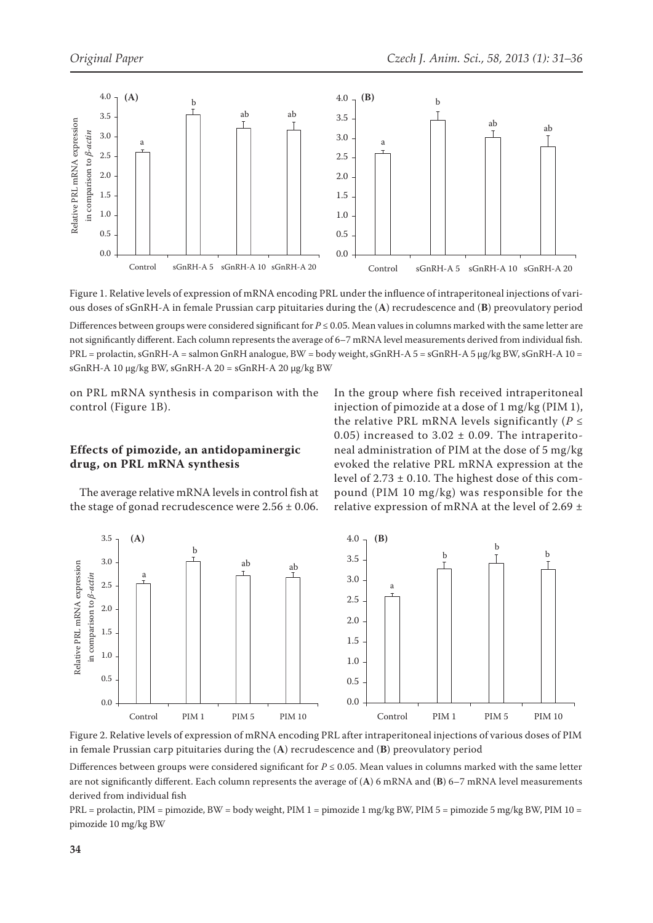

Figure 1. Relative levels of expression of mRNA encoding PRL under the influence of intraperitoneal injections of various doses of sGnRH-A in female Prussian carp pituitaries during the (**A**) recrudescence and (**B**) preovulatory period Differences between groups were considered significant for *P* ≤ 0.05. Mean values in columns marked with the same letter are not significantly different. Each column represents the average of 6–7 mRNA level measurements derived from individual fish. PRL = prolactin, sGnRH-A = salmon GnRH analogue, BW = body weight, sGnRH-A 5 = sGnRH-A 5 μg/kg BW, sGnRH-A 10 = sGnRH-A 10 μg/kg BW, sGnRH-A  $20 =$  sGnRH-A  $20 \mu$ g/kg BW

on PRL mRNA synthesis in comparison with the control (Figure 1B).

# **Effects of pimozide, an antidopaminergic drug, on PRL mRNA synthesis**

The average relative mRNA levels in control fish at the stage of gonad recrudescence were  $2.56 \pm 0.06$ . In the group where fish received intraperitoneal injection of pimozide at a dose of 1 mg/kg (PIM 1), the relative PRL mRNA levels significantly ( $P \leq$ 0.05) increased to 3.02  $\pm$  0.09. The intraperitoneal administration of PIM at the dose of 5 mg/kg evoked the relative PRL mRNA expression at the level of  $2.73 \pm 0.10$ . The highest dose of this compound (PIM 10 mg/kg) was responsible for the relative expression of mRNA at the level of 2.69  $\pm$ 



Figure 2. Relative levels of expression of mRNA encoding PRL after intraperitoneal injections of various doses of PIM in female Prussian carp pituitaries during the (**A**) recrudescence and (**B**) preovulatory period

Differences between groups were considered significant for  $P \le 0.05$ . Mean values in columns marked with the same letter are not significantly different. Each column represents the average of (**A**) 6 mRNA and (**B**) 6–7 mRNA level measurements derived from individual fish

PRL = prolactin, PIM = pimozide, BW = body weight, PIM 1 = pimozide 1 mg/kg BW, PIM 5 = pimozide 5 mg/kg BW, PIM 10 = pimozide 10 mg/kg BW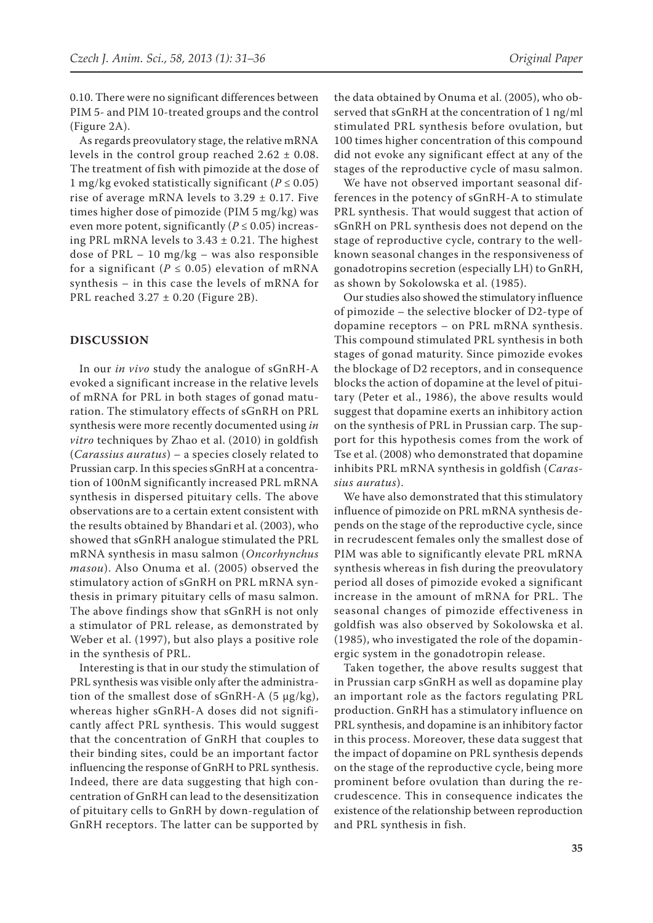0.10. There were no significant differences between PIM 5- and PIM 10-treated groups and the control (Figure 2A).

As regards preovulatory stage, the relative mRNA levels in the control group reached  $2.62 \pm 0.08$ . The treatment of fish with pimozide at the dose of 1 mg/kg evoked statistically significant ( $P \le 0.05$ ) rise of average mRNA levels to  $3.29 \pm 0.17$ . Five times higher dose of pimozide (PIM 5 mg/kg) was even more potent, significantly ( $P \le 0.05$ ) increasing PRL mRNA levels to 3.43 ± 0.21. The highest dose of PRL – 10 mg/kg – was also responsible for a significant ( $P \le 0.05$ ) elevation of mRNA synthesis – in this case the levels of mRNA for PRL reached 3.27 ± 0.20 (Figure 2B).

## **DISCUSSION**

In our *in vivo* study the analogue of sGnRH-A evoked a significant increase in the relative levels of mRNA for PRL in both stages of gonad maturation. The stimulatory effects of sGnRH on PRL synthesis were more recently documented using *in vitro* techniques by Zhao et al. (2010) in goldfish (*Carassius auratus*) – a species closely related to Prussian carp. In this species sGnRH at a concentration of 100nM significantly increased PRL mRNA synthesis in dispersed pituitary cells. The above observations are to a certain extent consistent with the results obtained by Bhandari et al. (2003), who showed that sGnRH analogue stimulated the PRL mRNA synthesis in masu salmon (*Oncorhynchus masou*). Also Onuma et al. (2005) observed the stimulatory action of sGnRH on PRL mRNA synthesis in primary pituitary cells of masu salmon. The above findings show that sGnRH is not only a stimulator of PRL release, as demonstrated by Weber et al. (1997), but also plays a positive role in the synthesis of PRL.

Interesting is that in our study the stimulation of PRL synthesis was visible only after the administration of the smallest dose of sGnRH-A  $(5 \mu g/kg)$ , whereas higher sGnRH-A doses did not significantly affect PRL synthesis. This would suggest that the concentration of GnRH that couples to their binding sites, could be an important factor influencing the response of GnRH to PRL synthesis. Indeed, there are data suggesting that high concentration of GnRH can lead to the desensitization of pituitary cells to GnRH by down-regulation of GnRH receptors. The latter can be supported by

the data obtained by Onuma et al. (2005), who observed that sGnRH at the concentration of 1 ng/ml stimulated PRL synthesis before ovulation, but 100 times higher concentration of this compound did not evoke any significant effect at any of the stages of the reproductive cycle of masu salmon.

We have not observed important seasonal differences in the potency of sGnRH-A to stimulate PRL synthesis. That would suggest that action of sGnRH on PRL synthesis does not depend on the stage of reproductive cycle, contrary to the wellknown seasonal changes in the responsiveness of gonadotropins secretion (especially LH) to GnRH, as shown by Sokolowska et al. (1985).

Our studies also showed the stimulatory influence of pimozide – the selective blocker of D2-type of dopamine receptors – on PRL mRNA synthesis. This compound stimulated PRL synthesis in both stages of gonad maturity. Since pimozide evokes the blockage of D2 receptors, and in consequence blocks the action of dopamine at the level of pituitary (Peter et al., 1986), the above results would suggest that dopamine exerts an inhibitory action on the synthesis of PRL in Prussian carp. The support for this hypothesis comes from the work of Tse et al. (2008) who demonstrated that dopamine inhibits PRL mRNA synthesis in goldfish (*Carassius auratus*).

We have also demonstrated that this stimulatory influence of pimozide on PRL mRNA synthesis depends on the stage of the reproductive cycle, since in recrudescent females only the smallest dose of PIM was able to significantly elevate PRL mRNA synthesis whereas in fish during the preovulatory period all doses of pimozide evoked a significant increase in the amount of mRNA for PRL. The seasonal changes of pimozide effectiveness in goldfish was also observed by Sokolowska et al. (1985), who investigated the role of the dopaminergic system in the gonadotropin release.

Taken together, the above results suggest that in Prussian carp sGnRH as well as dopamine play an important role as the factors regulating PRL production. GnRH has a stimulatory influence on PRL synthesis, and dopamine is an inhibitory factor in this process. Moreover, these data suggest that the impact of dopamine on PRL synthesis depends on the stage of the reproductive cycle, being more prominent before ovulation than during the recrudescence. This in consequence indicates the existence of the relationship between reproduction and PRL synthesis in fish.